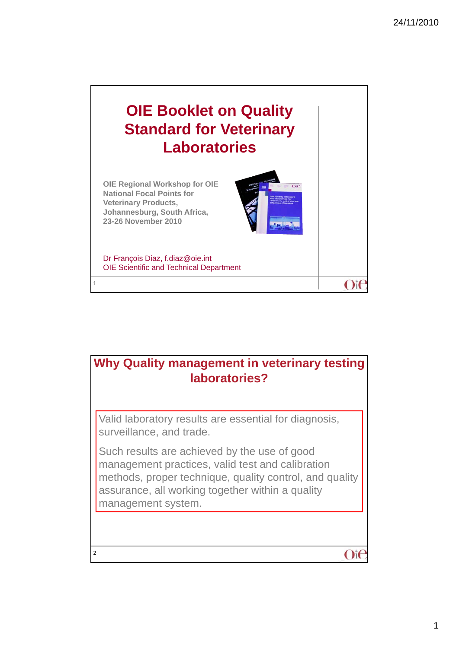

## **Why Quality management in veterinary testing laboratories?**

Valid laboratory results are essential for diagnosis, surveillance, and trade.

2

Such results are achieved by the use of good management practices, valid test and calibration methods, proper technique, quality control, and quality assurance, all working together within a quality assurance, all working together within a management system.

 $O$ if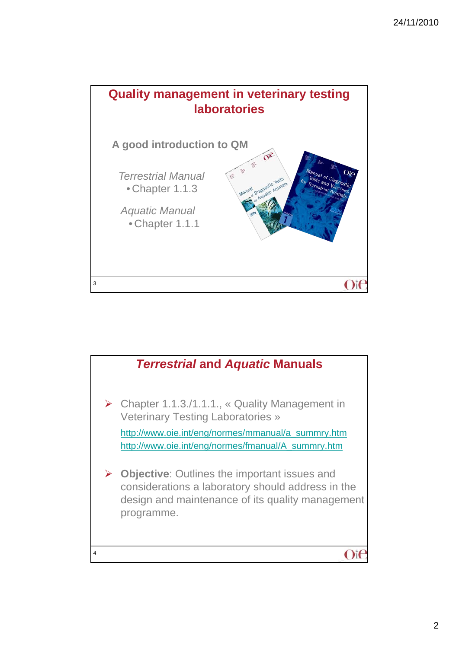

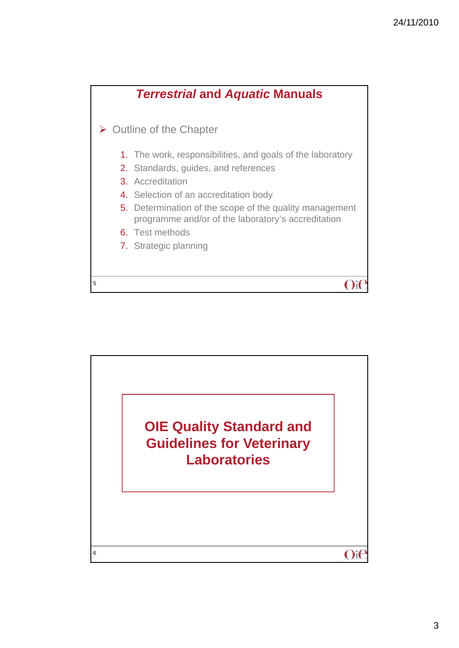

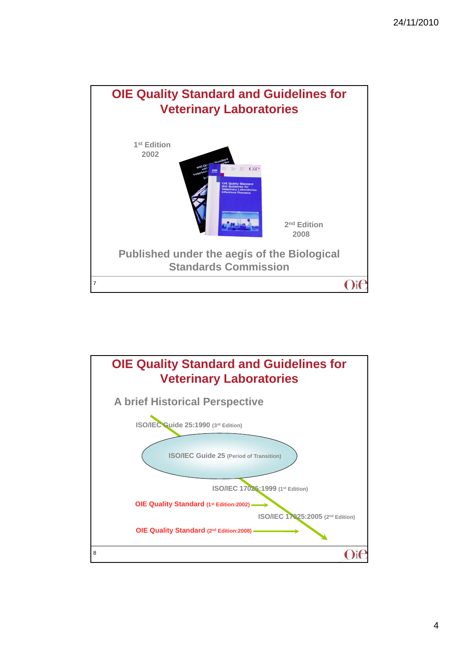

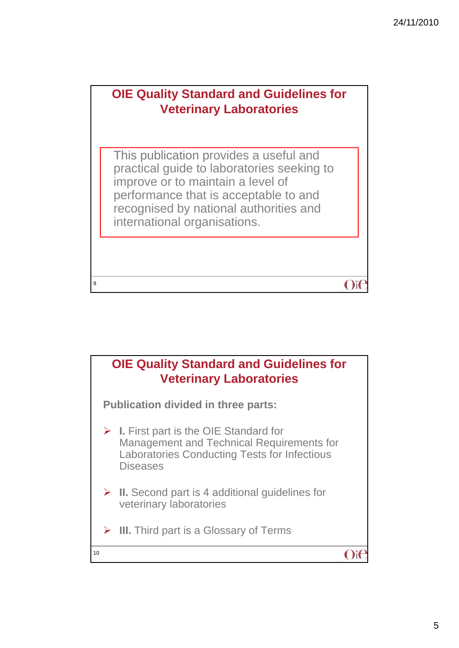$O$ it

## **OIE Quality Standard and Guidelines for Veterinary Laboratories**

This publication provides a useful and practical guide to laboratories seeking to improve or to maintain a level of performance that is acceptable to and recognised by national authorities and international organisations international organisations.

9

## **OIE Quality Standard and Guidelines for Veterinary Laboratories Publication divided in three parts: I.** First part is the OIE Standard for Management and Technical Requirements for Laboratories Conducting Tests for Infectious **Diseases ▶ II.** Second part is 4 additional guidelines for veterinary laboratories **▶ III.** Third part is a Glossary of Terms 10  $O$ if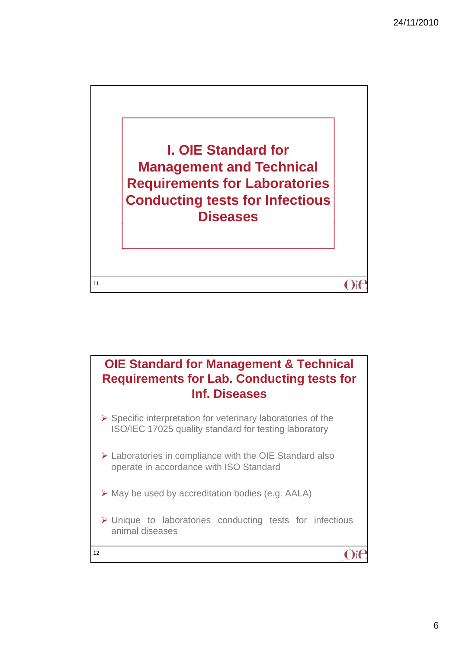

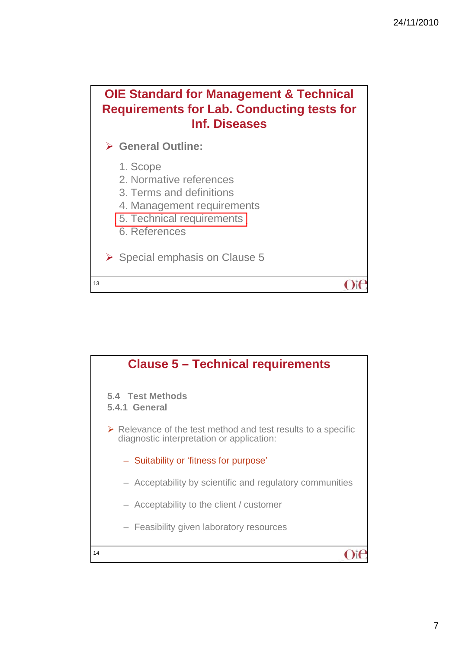$O$ it



**General Outline:**

1. Scope

- 2. Normative references
- 3. Terms and definitions
- 4. Management requirements
- 5. Technical requirements
- 6. References

13

 $\triangleright$  Special emphasis on Clause 5

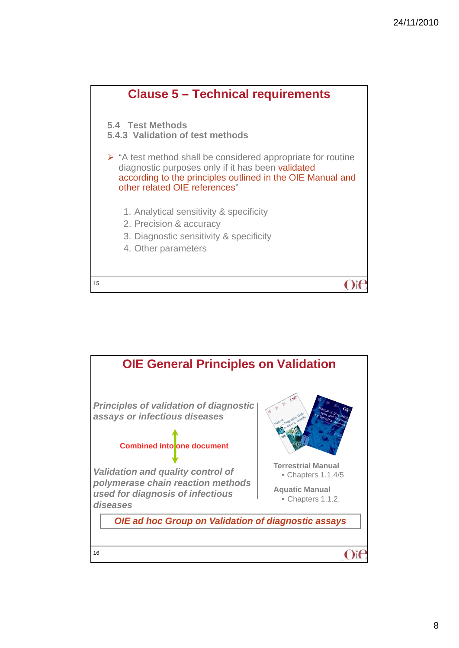

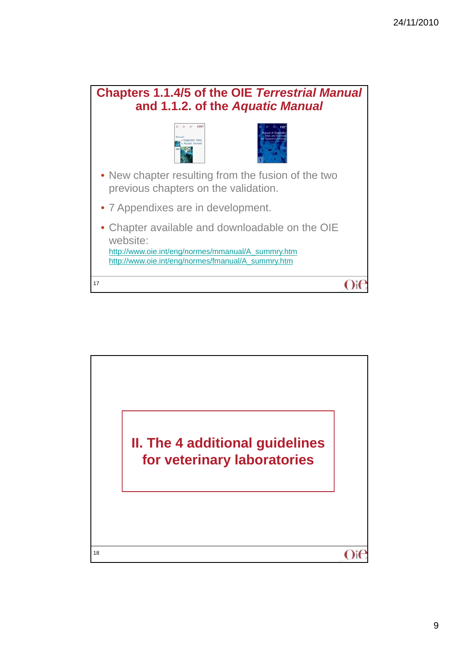## **Chapters 1.1.4/5 of the OIE** *Terrestrial Manual*  **and 1.1.2. of the** *Aquatic Manual*  $\epsilon = \epsilon$  ore • New chapter resulting from the fusion of the two previous chapters on the validation. • 7 Appendixes are in development. • Chapter available and downloadable on the OIE website: http://www.oie.int/eng/normes/mmanual/A\_summry.htm http://www.oie.int/eng/normes/fmanual/A\_summry.htm 17  $O$ it

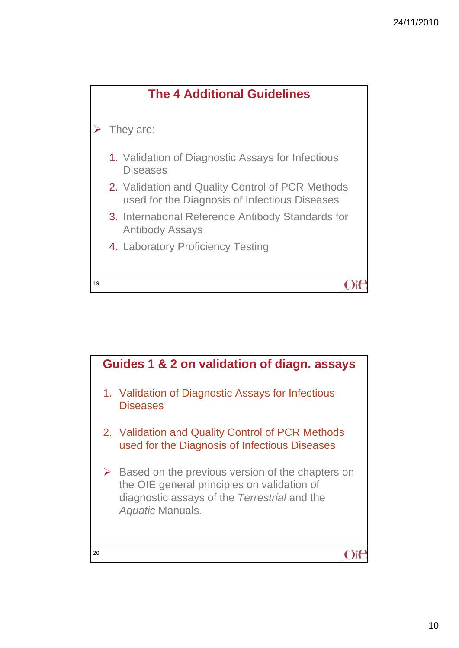

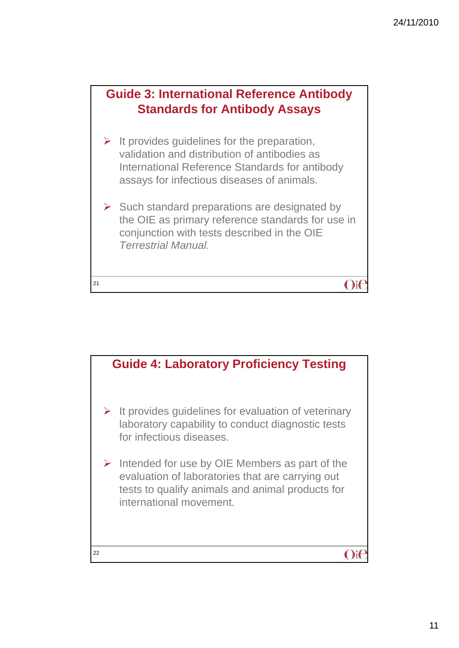